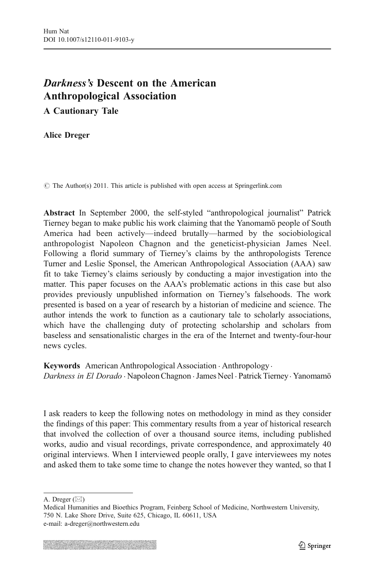# Darkness's Descent on the American Anthropological Association

A Cautionary Tale

Alice Dreger

 $\odot$  The Author(s) 2011. This article is published with open access at Springerlink.com

Abstract In September 2000, the self-styled "anthropological journalist" Patrick Tierney began to make public his work claiming that the Yanomamö people of South America had been actively—indeed brutally—harmed by the sociobiological anthropologist Napoleon Chagnon and the geneticist-physician James Neel. Following a florid summary of Tierney's claims by the anthropologists Terence Turner and Leslie Sponsel, the American Anthropological Association (AAA) saw fit to take Tierney's claims seriously by conducting a major investigation into the matter. This paper focuses on the AAA's problematic actions in this case but also provides previously unpublished information on Tierney's falsehoods. The work presented is based on a year of research by a historian of medicine and science. The author intends the work to function as a cautionary tale to scholarly associations, which have the challenging duty of protecting scholarship and scholars from baseless and sensationalistic charges in the era of the Internet and twenty-four-hour news cycles.

Keywords American Anthropological Association . Anthropology . Darkness in El Dorado · Napoleon Chagnon · James Neel · Patrick Tierney · Yanomamö

I ask readers to keep the following notes on methodology in mind as they consider the findings of this paper: This commentary results from a year of historical research that involved the collection of over a thousand source items, including published works, audio and visual recordings, private correspondence, and approximately 40 original interviews. When I interviewed people orally, I gave interviewees my notes and asked them to take some time to change the notes however they wanted, so that I

A. Dreger  $(\boxtimes)$ 

Medical Humanities and Bioethics Program, Feinberg School of Medicine, Northwestern University, 750 N. Lake Shore Drive, Suite 625, Chicago, IL 60611, USA e-mail: a-dreger@northwestern.edu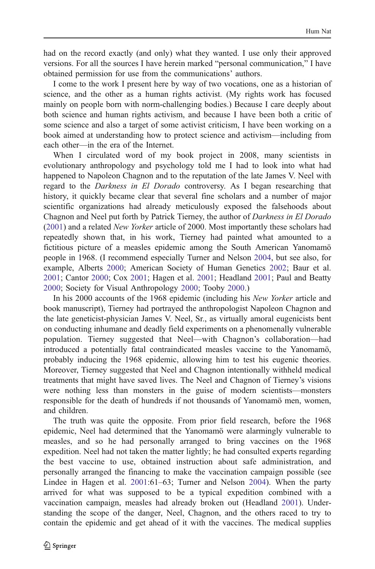had on the record exactly (and only) what they wanted. I use only their approved versions. For all the sources I have herein marked "personal communication," I have obtained permission for use from the communications' authors.

I come to the work I present here by way of two vocations, one as a historian of science, and the other as a human rights activist. (My rights work has focused mainly on people born with norm-challenging bodies.) Because I care deeply about both science and human rights activism, and because I have been both a critic of some science and also a target of some activist criticism, I have been working on a book aimed at understanding how to protect science and activism—including from each other—in the era of the Internet.

When I circulated word of my book project in 2008, many scientists in evolutionary anthropology and psychology told me I had to look into what had happened to Napoleon Chagnon and to the reputation of the late James V. Neel with regard to the Darkness in El Dorado controversy. As I began researching that history, it quickly became clear that several fine scholars and a number of major scientific organizations had already meticulously exposed the falsehoods about Chagnon and Neel put forth by Patrick Tierney, the author of Darkness in El Dorado [\(2001](#page-21-0)) and a related New Yorker article of 2000. Most importantly these scholars had repeatedly shown that, in his work, Tierney had painted what amounted to a fictitious picture of a measles epidemic among the South American Yanomamö people in 1968. (I recommend especially Turner and Nelson [2004,](#page-21-0) but see also, for example, Alberts [2000](#page-19-0); American Society of Human Genetics [2002;](#page-19-0) Baur et al. [2001;](#page-19-0) Cantor [2000](#page-19-0); Cox [2001;](#page-20-0) Hagen et al. [2001](#page-20-0); Headland [2001](#page-20-0); Paul and Beatty [2000;](#page-20-0) Society for Visual Anthropology [2000](#page-21-0); Tooby [2000.](#page-21-0))

In his 2000 accounts of the 1968 epidemic (including his New Yorker article and book manuscript), Tierney had portrayed the anthropologist Napoleon Chagnon and the late geneticist-physician James V. Neel, Sr., as virtually amoral eugenicists bent on conducting inhumane and deadly field experiments on a phenomenally vulnerable population. Tierney suggested that Neel—with Chagnon's collaboration—had introduced a potentially fatal contraindicated measles vaccine to the Yanomamö, probably inducing the 1968 epidemic, allowing him to test his eugenic theories. Moreover, Tierney suggested that Neel and Chagnon intentionally withheld medical treatments that might have saved lives. The Neel and Chagnon of Tierney's visions were nothing less than monsters in the guise of modern scientists—monsters responsible for the death of hundreds if not thousands of Yanomamö men, women, and children.

The truth was quite the opposite. From prior field research, before the 1968 epidemic, Neel had determined that the Yanomamö were alarmingly vulnerable to measles, and so he had personally arranged to bring vaccines on the 1968 expedition. Neel had not taken the matter lightly; he had consulted experts regarding the best vaccine to use, obtained instruction about safe administration, and personally arranged the financing to make the vaccination campaign possible (see Lindee in Hagen et al. [2001](#page-20-0):61–63; Turner and Nelson [2004\)](#page-21-0). When the party arrived for what was supposed to be a typical expedition combined with a vaccination campaign, measles had already broken out (Headland [2001](#page-20-0)). Understanding the scope of the danger, Neel, Chagnon, and the others raced to try to contain the epidemic and get ahead of it with the vaccines. The medical supplies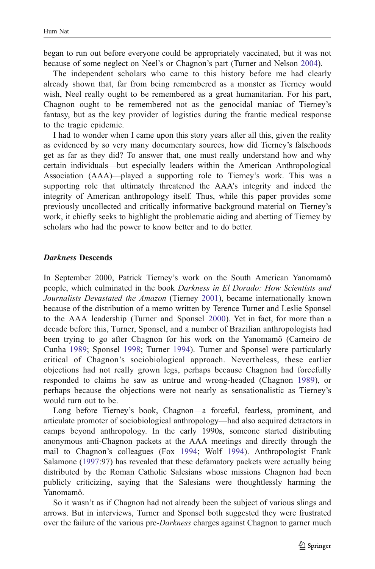began to run out before everyone could be appropriately vaccinated, but it was not because of some neglect on Neel's or Chagnon's part (Turner and Nelson [2004\)](#page-21-0).

The independent scholars who came to this history before me had clearly already shown that, far from being remembered as a monster as Tierney would wish, Neel really ought to be remembered as a great humanitarian. For his part, Chagnon ought to be remembered not as the genocidal maniac of Tierney's fantasy, but as the key provider of logistics during the frantic medical response to the tragic epidemic.

I had to wonder when I came upon this story years after all this, given the reality as evidenced by so very many documentary sources, how did Tierney's falsehoods get as far as they did? To answer that, one must really understand how and why certain individuals—but especially leaders within the American Anthropological Association (AAA)—played a supporting role to Tierney's work. This was a supporting role that ultimately threatened the AAA's integrity and indeed the integrity of American anthropology itself. Thus, while this paper provides some previously uncollected and critically informative background material on Tierney's work, it chiefly seeks to highlight the problematic aiding and abetting of Tierney by scholars who had the power to know better and to do better.

#### Darkness Descends

In September 2000, Patrick Tierney's work on the South American Yanomamö people, which culminated in the book Darkness in El Dorado: How Scientists and Journalists Devastated the Amazon (Tierney [2001](#page-21-0)), became internationally known because of the distribution of a memo written by Terence Turner and Leslie Sponsel to the AAA leadership (Turner and Sponsel [2000\)](#page-21-0). Yet in fact, for more than a decade before this, Turner, Sponsel, and a number of Brazilian anthropologists had been trying to go after Chagnon for his work on the Yanomamö (Carneiro de Cunha [1989;](#page-19-0) Sponsel [1998;](#page-21-0) Turner [1994](#page-21-0)). Turner and Sponsel were particularly critical of Chagnon's sociobiological approach. Nevertheless, these earlier objections had not really grown legs, perhaps because Chagnon had forcefully responded to claims he saw as untrue and wrong-headed (Chagnon [1989](#page-19-0)), or perhaps because the objections were not nearly as sensationalistic as Tierney's would turn out to be.

Long before Tierney's book, Chagnon—a forceful, fearless, prominent, and articulate promoter of sociobiological anthropology—had also acquired detractors in camps beyond anthropology. In the early 1990s, someone started distributing anonymous anti-Chagnon packets at the AAA meetings and directly through the mail to Chagnon's colleagues (Fox [1994](#page-20-0); Wolf [1994](#page-21-0)). Anthropologist Frank Salamone [\(1997](#page-21-0):97) has revealed that these defamatory packets were actually being distributed by the Roman Catholic Salesians whose missions Chagnon had been publicly criticizing, saying that the Salesians were thoughtlessly harming the Yanomamö.

So it wasn't as if Chagnon had not already been the subject of various slings and arrows. But in interviews, Turner and Sponsel both suggested they were frustrated over the failure of the various pre-*Darkness* charges against Chagnon to garner much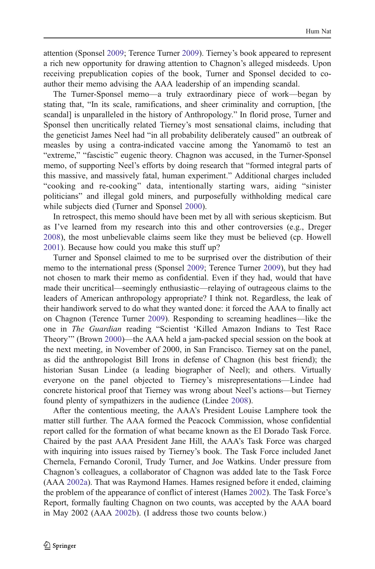attention (Sponsel [2009](#page-21-0); Terence Turner [2009](#page-21-0)). Tierney's book appeared to represent a rich new opportunity for drawing attention to Chagnon's alleged misdeeds. Upon receiving prepublication copies of the book, Turner and Sponsel decided to coauthor their memo advising the AAA leadership of an impending scandal.

The Turner-Sponsel memo—a truly extraordinary piece of work—began by stating that, "In its scale, ramifications, and sheer criminality and corruption, [the scandal] is unparalleled in the history of Anthropology." In florid prose, Turner and Sponsel then uncritically related Tierney's most sensational claims, including that the geneticist James Neel had "in all probability deliberately caused" an outbreak of measles by using a contra-indicated vaccine among the Yanomamö to test an "extreme," "fascistic" eugenic theory. Chagnon was accused, in the Turner-Sponsel memo, of supporting Neel's efforts by doing research that "formed integral parts of this massive, and massively fatal, human experiment." Additional charges included "cooking and re-cooking" data, intentionally starting wars, aiding "sinister politicians" and illegal gold miners, and purposefully withholding medical care while subjects died (Turner and Sponsel [2000](#page-21-0)).

In retrospect, this memo should have been met by all with serious skepticism. But as I've learned from my research into this and other controversies (e.g., Dreger [2008\)](#page-20-0), the most unbelievable claims seem like they must be believed (cp. Howell [2001\)](#page-20-0). Because how could you make this stuff up?

Turner and Sponsel claimed to me to be surprised over the distribution of their memo to the international press (Sponsel [2009](#page-21-0); Terence Turner [2009](#page-21-0)), but they had not chosen to mark their memo as confidential. Even if they had, would that have made their uncritical—seemingly enthusiastic—relaying of outrageous claims to the leaders of American anthropology appropriate? I think not. Regardless, the leak of their handiwork served to do what they wanted done: it forced the AAA to finally act on Chagnon (Terence Turner [2009](#page-21-0)). Responding to screaming headlines—like the one in The Guardian reading "Scientist 'Killed Amazon Indians to Test Race Theory'" (Brown [2000\)](#page-19-0)—the AAA held a jam-packed special session on the book at the next meeting, in November of 2000, in San Francisco. Tierney sat on the panel, as did the anthropologist Bill Irons in defense of Chagnon (his best friend); the historian Susan Lindee (a leading biographer of Neel); and others. Virtually everyone on the panel objected to Tierney's misrepresentations—Lindee had concrete historical proof that Tierney was wrong about Neel's actions—but Tierney found plenty of sympathizers in the audience (Lindee [2008](#page-20-0)).

After the contentious meeting, the AAA's President Louise Lamphere took the matter still further. The AAA formed the Peacock Commission, whose confidential report called for the formation of what became known as the El Dorado Task Force. Chaired by the past AAA President Jane Hill, the AAA's Task Force was charged with inquiring into issues raised by Tierney's book. The Task Force included Janet Chernela, Fernando Coronil, Trudy Turner, and Joe Watkins. Under pressure from Chagnon's colleagues, a collaborator of Chagnon was added late to the Task Force (AAA [2002a\)](#page-19-0). That was Raymond Hames. Hames resigned before it ended, claiming the problem of the appearance of conflict of interest (Hames [2002](#page-20-0)). The Task Force's Report, formally faulting Chagnon on two counts, was accepted by the AAA board in May 2002 (AAA [2002b\)](#page-19-0). (I address those two counts below.)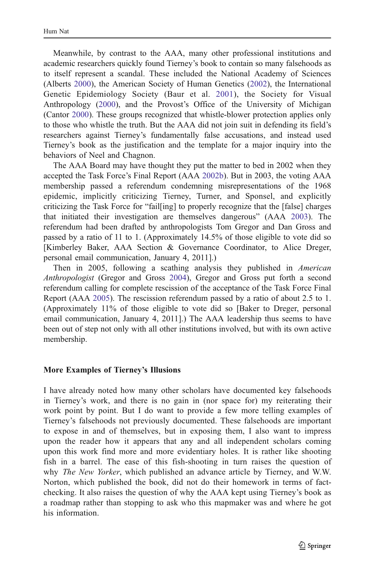Meanwhile, by contrast to the AAA, many other professional institutions and academic researchers quickly found Tierney's book to contain so many falsehoods as to itself represent a scandal. These included the National Academy of Sciences (Alberts [2000\)](#page-19-0), the American Society of Human Genetics [\(2002](#page-19-0)), the International Genetic Epidemiology Society (Baur et al. [2001\)](#page-19-0), the Society for Visual Anthropology ([2000\)](#page-21-0), and the Provost's Office of the University of Michigan (Cantor [2000](#page-19-0)). These groups recognized that whistle-blower protection applies only to those who whistle the truth. But the AAA did not join suit in defending its field's researchers against Tierney's fundamentally false accusations, and instead used Tierney's book as the justification and the template for a major inquiry into the behaviors of Neel and Chagnon.

The AAA Board may have thought they put the matter to bed in 2002 when they accepted the Task Force's Final Report (AAA [2002b](#page-19-0)). But in 2003, the voting AAA membership passed a referendum condemning misrepresentations of the 1968 epidemic, implicitly criticizing Tierney, Turner, and Sponsel, and explicitly criticizing the Task Force for "fail[ing] to properly recognize that the [false] charges that initiated their investigation are themselves dangerous" (AAA [2003](#page-19-0)). The referendum had been drafted by anthropologists Tom Gregor and Dan Gross and passed by a ratio of 11 to 1. (Approximately 14.5% of those eligible to vote did so [Kimberley Baker, AAA Section & Governance Coordinator, to Alice Dreger, personal email communication, January 4, 2011].)

Then in 2005, following a scathing analysis they published in American Anthropologist (Gregor and Gross [2004\)](#page-20-0), Gregor and Gross put forth a second referendum calling for complete rescission of the acceptance of the Task Force Final Report (AAA [2005\)](#page-19-0). The rescission referendum passed by a ratio of about 2.5 to 1. (Approximately 11% of those eligible to vote did so [Baker to Dreger, personal email communication, January 4, 2011].) The AAA leadership thus seems to have been out of step not only with all other institutions involved, but with its own active membership.

# More Examples of Tierney's Illusions

I have already noted how many other scholars have documented key falsehoods in Tierney's work, and there is no gain in (nor space for) my reiterating their work point by point. But I do want to provide a few more telling examples of Tierney's falsehoods not previously documented. These falsehoods are important to expose in and of themselves, but in exposing them, I also want to impress upon the reader how it appears that any and all independent scholars coming upon this work find more and more evidentiary holes. It is rather like shooting fish in a barrel. The ease of this fish-shooting in turn raises the question of why *The New Yorker*, which published an advance article by Tierney, and W.W. Norton, which published the book, did not do their homework in terms of factchecking. It also raises the question of why the AAA kept using Tierney's book as a roadmap rather than stopping to ask who this mapmaker was and where he got his information.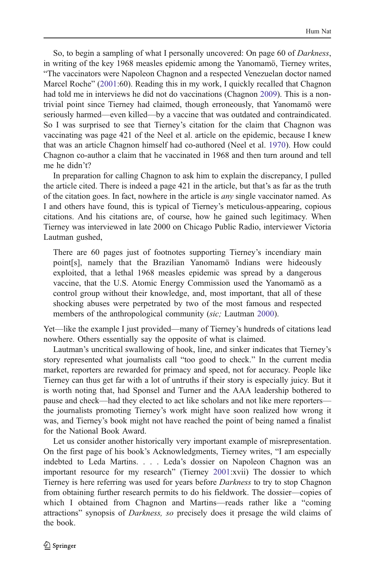So, to begin a sampling of what I personally uncovered: On page 60 of Darkness, in writing of the key 1968 measles epidemic among the Yanomamö, Tierney writes, "The vaccinators were Napoleon Chagnon and a respected Venezuelan doctor named Marcel Roche" [\(2001](#page-21-0):60). Reading this in my work, I quickly recalled that Chagnon had told me in interviews he did not do vaccinations (Chagnon [2009\)](#page-19-0). This is a nontrivial point since Tierney had claimed, though erroneously, that Yanomamö were seriously harmed—even killed—by a vaccine that was outdated and contraindicated. So I was surprised to see that Tierney's citation for the claim that Chagnon was vaccinating was page 421 of the Neel et al. article on the epidemic, because I knew that was an article Chagnon himself had co-authored (Neel et al. [1970\)](#page-20-0). How could Chagnon co-author a claim that he vaccinated in 1968 and then turn around and tell me he didn't?

In preparation for calling Chagnon to ask him to explain the discrepancy, I pulled the article cited. There is indeed a page 421 in the article, but that's as far as the truth of the citation goes. In fact, nowhere in the article is *any* single vaccinator named. As I and others have found, this is typical of Tierney's meticulous-appearing, copious citations. And his citations are, of course, how he gained such legitimacy. When Tierney was interviewed in late 2000 on Chicago Public Radio, interviewer Victoria Lautman gushed,

There are 60 pages just of footnotes supporting Tierney's incendiary main point[s], namely that the Brazilian Yanomamö Indians were hideously exploited, that a lethal 1968 measles epidemic was spread by a dangerous vaccine, that the U.S. Atomic Energy Commission used the Yanomamö as a control group without their knowledge, and, most important, that all of these shocking abuses were perpetrated by two of the most famous and respected members of the anthropological community (sic; Lautman [2000\)](#page-20-0).

Yet—like the example I just provided—many of Tierney's hundreds of citations lead nowhere. Others essentially say the opposite of what is claimed.

Lautman's uncritical swallowing of hook, line, and sinker indicates that Tierney's story represented what journalists call "too good to check." In the current media market, reporters are rewarded for primacy and speed, not for accuracy. People like Tierney can thus get far with a lot of untruths if their story is especially juicy. But it is worth noting that, had Sponsel and Turner and the AAA leadership bothered to pause and check—had they elected to act like scholars and not like mere reporters the journalists promoting Tierney's work might have soon realized how wrong it was, and Tierney's book might not have reached the point of being named a finalist for the National Book Award.

Let us consider another historically very important example of misrepresentation. On the first page of his book's Acknowledgments, Tierney writes, "I am especially indebted to Leda Martins. . . . Leda's dossier on Napoleon Chagnon was an important resource for my research" (Tierney [2001](#page-21-0):xvii) The dossier to which Tierney is here referring was used for years before Darkness to try to stop Chagnon from obtaining further research permits to do his fieldwork. The dossier—copies of which I obtained from Chagnon and Martins—reads rather like a "coming attractions" synopsis of *Darkness, so* precisely does it presage the wild claims of the book.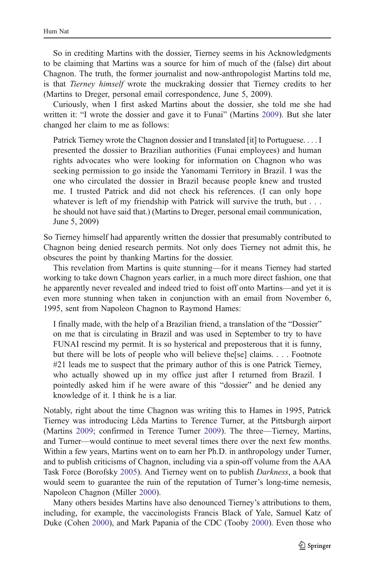So in crediting Martins with the dossier, Tierney seems in his Acknowledgments to be claiming that Martins was a source for him of much of the (false) dirt about Chagnon. The truth, the former journalist and now-anthropologist Martins told me, is that Tierney himself wrote the muckraking dossier that Tierney credits to her (Martins to Dreger, personal email correspondence, June 5, 2009).

Curiously, when I first asked Martins about the dossier, she told me she had written it: "I wrote the dossier and gave it to Funai" (Martins [2009\)](#page-20-0). But she later changed her claim to me as follows:

Patrick Tierney wrote the Chagnon dossier and I translated [it] to Portuguese. . . . I presented the dossier to Brazilian authorities (Funai employees) and human rights advocates who were looking for information on Chagnon who was seeking permission to go inside the Yanomami Territory in Brazil. I was the one who circulated the dossier in Brazil because people knew and trusted me. I trusted Patrick and did not check his references. (I can only hope whatever is left of my friendship with Patrick will survive the truth, but . . . he should not have said that.) (Martins to Dreger, personal email communication, June 5, 2009)

So Tierney himself had apparently written the dossier that presumably contributed to Chagnon being denied research permits. Not only does Tierney not admit this, he obscures the point by thanking Martins for the dossier.

This revelation from Martins is quite stunning—for it means Tierney had started working to take down Chagnon years earlier, in a much more direct fashion, one that he apparently never revealed and indeed tried to foist off onto Martins—and yet it is even more stunning when taken in conjunction with an email from November 6, 1995, sent from Napoleon Chagnon to Raymond Hames:

I finally made, with the help of a Brazilian friend, a translation of the "Dossier" on me that is circulating in Brazil and was used in September to try to have FUNAI rescind my permit. It is so hysterical and preposterous that it is funny, but there will be lots of people who will believe the[se] claims. . . . Footnote #21 leads me to suspect that the primary author of this is one Patrick Tierney, who actually showed up in my office just after I returned from Brazil. I pointedly asked him if he were aware of this "dossier" and he denied any knowledge of it. I think he is a liar.

Notably, right about the time Chagnon was writing this to Hames in 1995, Patrick Tierney was introducing Lêda Martins to Terence Turner, at the Pittsburgh airport (Martins [2009](#page-20-0); confirmed in Terence Turner [2009](#page-21-0)). The three—Tierney, Martins, and Turner—would continue to meet several times there over the next few months. Within a few years, Martins went on to earn her Ph.D. in anthropology under Turner, and to publish criticisms of Chagnon, including via a spin-off volume from the AAA Task Force (Borofsky [2005\)](#page-19-0). And Tierney went on to publish Darkness, a book that would seem to guarantee the ruin of the reputation of Turner's long-time nemesis, Napoleon Chagnon (Miller [2000](#page-20-0)).

Many others besides Martins have also denounced Tierney's attributions to them, including, for example, the vaccinologists Francis Black of Yale, Samuel Katz of Duke (Cohen [2000\)](#page-19-0), and Mark Papania of the CDC (Tooby [2000\)](#page-21-0). Even those who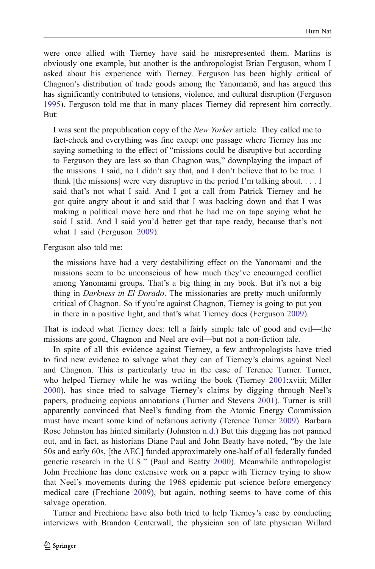were once allied with Tierney have said he misrepresented them. Martins is obviously one example, but another is the anthropologist Brian Ferguson, whom I asked about his experience with Tierney. Ferguson has been highly critical of Chagnon's distribution of trade goods among the Yanomamö, and has argued this has significantly contributed to tensions, violence, and cultural disruption (Ferguson [1995\)](#page-20-0). Ferguson told me that in many places Tierney did represent him correctly. But:

I was sent the prepublication copy of the New Yorker article. They called me to fact-check and everything was fine except one passage where Tierney has me saying something to the effect of "missions could be disruptive but according to Ferguson they are less so than Chagnon was," downplaying the impact of the missions. I said, no I didn't say that, and I don't believe that to be true. I think [the missions] were very disruptive in the period I'm talking about. . . . I said that's not what I said. And I got a call from Patrick Tierney and he got quite angry about it and said that I was backing down and that I was making a political move here and that he had me on tape saying what he said I said. And I said you'd better get that tape ready, because that's not what I said (Ferguson [2009\)](#page-20-0).

Ferguson also told me:

the missions have had a very destabilizing effect on the Yanomami and the missions seem to be unconscious of how much they've encouraged conflict among Yanomami groups. That's a big thing in my book. But it's not a big thing in *Darkness in El Dorado*. The missionaries are pretty much uniformly critical of Chagnon. So if you're against Chagnon, Tierney is going to put you in there in a positive light, and that's what Tierney does (Ferguson [2009\)](#page-20-0).

That is indeed what Tierney does: tell a fairly simple tale of good and evil—the missions are good, Chagnon and Neel are evil—but not a non-fiction tale.

In spite of all this evidence against Tierney, a few anthropologists have tried to find new evidence to salvage what they can of Tierney's claims against Neel and Chagnon. This is particularly true in the case of Terence Turner. Turner, who helped Tierney while he was writing the book (Tierney [2001:](#page-21-0)xviii; Miller [2000](#page-20-0)), has since tried to salvage Tierney's claims by digging through Neel's papers, producing copious annotations (Turner and Stevens [2001](#page-21-0)). Turner is still apparently convinced that Neel's funding from the Atomic Energy Commission must have meant some kind of nefarious activity (Terence Turner [2009](#page-21-0)). Barbara Rose Johnston has hinted similarly (Johnston [n.d.\)](#page-20-0) But this digging has not panned out, and in fact, as historians Diane Paul and John Beatty have noted, "by the late 50s and early 60s, [the AEC] funded approximately one-half of all federally funded genetic research in the U.S." (Paul and Beatty [2000\)](#page-20-0). Meanwhile anthropologist John Frechione has done extensive work on a paper with Tierney trying to show that Neel's movements during the 1968 epidemic put science before emergency medical care (Frechione [2009](#page-20-0)), but again, nothing seems to have come of this salvage operation.

Turner and Frechione have also both tried to help Tierney's case by conducting interviews with Brandon Centerwall, the physician son of late physician Willard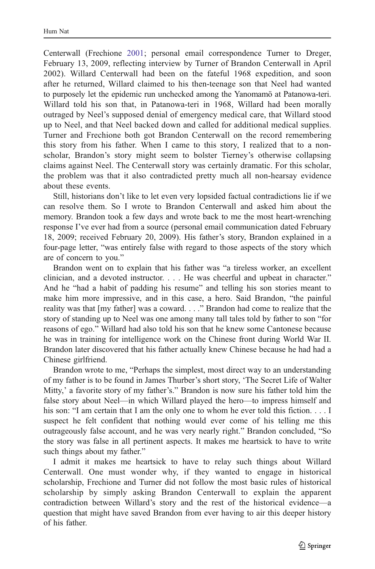Centerwall (Frechione [2001;](#page-20-0) personal email correspondence Turner to Dreger, February 13, 2009, reflecting interview by Turner of Brandon Centerwall in April 2002). Willard Centerwall had been on the fateful 1968 expedition, and soon after he returned, Willard claimed to his then-teenage son that Neel had wanted to purposely let the epidemic run unchecked among the Yanomamö at Patanowa-teri. Willard told his son that, in Patanowa-teri in 1968, Willard had been morally outraged by Neel's supposed denial of emergency medical care, that Willard stood up to Neel, and that Neel backed down and called for additional medical supplies. Turner and Frechione both got Brandon Centerwall on the record remembering this story from his father. When I came to this story, I realized that to a nonscholar, Brandon's story might seem to bolster Tierney's otherwise collapsing claims against Neel. The Centerwall story was certainly dramatic. For this scholar, the problem was that it also contradicted pretty much all non-hearsay evidence about these events.

Still, historians don't like to let even very lopsided factual contradictions lie if we can resolve them. So I wrote to Brandon Centerwall and asked him about the memory. Brandon took a few days and wrote back to me the most heart-wrenching response I've ever had from a source (personal email communication dated February 18, 2009; received February 20, 2009). His father's story, Brandon explained in a four-page letter, "was entirely false with regard to those aspects of the story which are of concern to you."

Brandon went on to explain that his father was "a tireless worker, an excellent clinician, and a devoted instructor. . . . He was cheerful and upbeat in character." And he "had a habit of padding his resume" and telling his son stories meant to make him more impressive, and in this case, a hero. Said Brandon, "the painful reality was that [my father] was a coward. . . ." Brandon had come to realize that the story of standing up to Neel was one among many tall tales told by father to son "for reasons of ego." Willard had also told his son that he knew some Cantonese because he was in training for intelligence work on the Chinese front during World War II. Brandon later discovered that his father actually knew Chinese because he had had a Chinese girlfriend.

Brandon wrote to me, "Perhaps the simplest, most direct way to an understanding of my father is to be found in James Thurber's short story, 'The Secret Life of Walter Mitty,' a favorite story of my father's." Brandon is now sure his father told him the false story about Neel—in which Willard played the hero—to impress himself and his son: "I am certain that I am the only one to whom he ever told this fiction.... I suspect he felt confident that nothing would ever come of his telling me this outrageously false account, and he was very nearly right." Brandon concluded, "So the story was false in all pertinent aspects. It makes me heartsick to have to write such things about my father."

I admit it makes me heartsick to have to relay such things about Willard Centerwall. One must wonder why, if they wanted to engage in historical scholarship, Frechione and Turner did not follow the most basic rules of historical scholarship by simply asking Brandon Centerwall to explain the apparent contradiction between Willard's story and the rest of the historical evidence—a question that might have saved Brandon from ever having to air this deeper history of his father.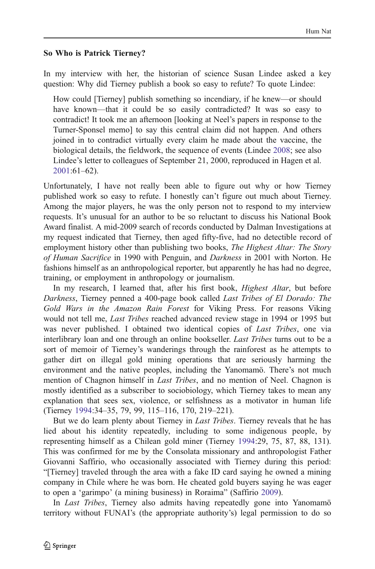# So Who is Patrick Tierney?

In my interview with her, the historian of science Susan Lindee asked a key question: Why did Tierney publish a book so easy to refute? To quote Lindee:

How could [Tierney] publish something so incendiary, if he knew—or should have known—that it could be so easily contradicted? It was so easy to contradict! It took me an afternoon [looking at Neel's papers in response to the Turner-Sponsel memo] to say this central claim did not happen. And others joined in to contradict virtually every claim he made about the vaccine, the biological details, the fieldwork, the sequence of events (Lindee [2008](#page-20-0); see also Lindee's letter to colleagues of September 21, 2000, reproduced in Hagen et al. [2001](#page-20-0):61–62).

Unfortunately, I have not really been able to figure out why or how Tierney published work so easy to refute. I honestly can't figure out much about Tierney. Among the major players, he was the only person not to respond to my interview requests. It's unusual for an author to be so reluctant to discuss his National Book Award finalist. A mid-2009 search of records conducted by Dalman Investigations at my request indicated that Tierney, then aged fifty-five, had no detectible record of employment history other than publishing two books, The Highest Altar: The Story of Human Sacrifice in 1990 with Penguin, and Darkness in 2001 with Norton. He fashions himself as an anthropological reporter, but apparently he has had no degree, training, or employment in anthropology or journalism.

In my research, I learned that, after his first book, Highest Altar, but before Darkness, Tierney penned a 400-page book called Last Tribes of El Dorado: The Gold Wars in the Amazon Rain Forest for Viking Press. For reasons Viking would not tell me, Last Tribes reached advanced review stage in 1994 or 1995 but was never published. I obtained two identical copies of Last Tribes, one via interlibrary loan and one through an online bookseller. Last Tribes turns out to be a sort of memoir of Tierney's wanderings through the rainforest as he attempts to gather dirt on illegal gold mining operations that are seriously harming the environment and the native peoples, including the Yanomamö. There's not much mention of Chagnon himself in Last Tribes, and no mention of Neel. Chagnon is mostly identified as a subscriber to sociobiology, which Tierney takes to mean any explanation that sees sex, violence, or selfishness as a motivator in human life (Tierney [1994:](#page-21-0)34–35, 79, 99, 115–116, 170, 219–221).

But we do learn plenty about Tierney in *Last Tribes*. Tierney reveals that he has lied about his identity repeatedly, including to some indigenous people, by representing himself as a Chilean gold miner (Tierney [1994:](#page-21-0)29, 75, 87, 88, 131). This was confirmed for me by the Consolata missionary and anthropologist Father Giovanni Saffirio, who occasionally associated with Tierney during this period: "[Tierney] traveled through the area with a fake ID card saying he owned a mining company in Chile where he was born. He cheated gold buyers saying he was eager to open a 'garimpo' (a mining business) in Roraima" (Saffirio [2009](#page-21-0)).

In Last Tribes, Tierney also admits having repeatedly gone into Yanomamö territory without FUNAI's (the appropriate authority's) legal permission to do so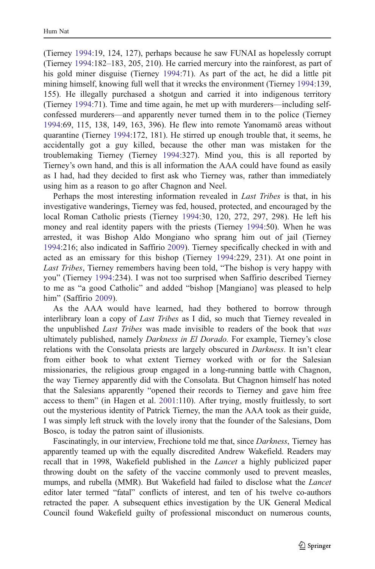(Tierney [1994:](#page-21-0)19, 124, 127), perhaps because he saw FUNAI as hopelessly corrupt (Tierney [1994](#page-21-0):182–183, 205, 210). He carried mercury into the rainforest, as part of his gold miner disguise (Tierney [1994](#page-21-0):71). As part of the act, he did a little pit mining himself, knowing full well that it wrecks the environment (Tierney [1994](#page-21-0):139, 155). He illegally purchased a shotgun and carried it into indigenous territory (Tierney [1994:](#page-21-0)71). Time and time again, he met up with murderers—including selfconfessed murderers—and apparently never turned them in to the police (Tierney [1994:](#page-21-0)69, 115, 138, 149, 163, 396). He flew into remote Yanomamö areas without quarantine (Tierney [1994:](#page-21-0)172, 181). He stirred up enough trouble that, it seems, he accidentally got a guy killed, because the other man was mistaken for the troublemaking Tierney (Tierney [1994:](#page-21-0)327). Mind you, this is all reported by Tierney's own hand, and this is all information the AAA could have found as easily as I had, had they decided to first ask who Tierney was, rather than immediately using him as a reason to go after Chagnon and Neel.

Perhaps the most interesting information revealed in Last Tribes is that, in his investigative wanderings, Tierney was fed, housed, protected, and encouraged by the local Roman Catholic priests (Tierney [1994](#page-21-0):30, 120, 272, 297, 298). He left his money and real identity papers with the priests (Tierney [1994](#page-21-0):50). When he was arrested, it was Bishop Aldo Mongiano who sprang him out of jail (Tierney [1994:](#page-21-0)216; also indicated in Saffirio [2009](#page-21-0)). Tierney specifically checked in with and acted as an emissary for this bishop (Tierney [1994](#page-21-0):229, 231). At one point in Last Tribes, Tierney remembers having been told, "The bishop is very happy with you" (Tierney [1994:](#page-21-0)234). I was not too surprised when Saffirio described Tierney to me as "a good Catholic" and added "bishop [Mangiano] was pleased to help him" (Saffirio [2009\)](#page-21-0).

As the AAA would have learned, had they bothered to borrow through interlibrary loan a copy of Last Tribes as I did, so much that Tierney revealed in the unpublished Last Tribes was made invisible to readers of the book that was ultimately published, namely *Darkness in El Dorado*. For example, Tierney's close relations with the Consolata priests are largely obscured in Darkness. It isn't clear from either book to what extent Tierney worked with or for the Salesian missionaries, the religious group engaged in a long-running battle with Chagnon, the way Tierney apparently did with the Consolata. But Chagnon himself has noted that the Salesians apparently "opened their records to Tierney and gave him free access to them" (in Hagen et al. [2001](#page-20-0):110). After trying, mostly fruitlessly, to sort out the mysterious identity of Patrick Tierney, the man the AAA took as their guide, I was simply left struck with the lovely irony that the founder of the Salesians, Dom Bosco, is today the patron saint of illusionists.

Fascinatingly, in our interview, Frechione told me that, since Darkness, Tierney has apparently teamed up with the equally discredited Andrew Wakefield. Readers may recall that in 1998, Wakefield published in the Lancet a highly publicized paper throwing doubt on the safety of the vaccine commonly used to prevent measles, mumps, and rubella (MMR). But Wakefield had failed to disclose what the Lancet editor later termed "fatal" conflicts of interest, and ten of his twelve co-authors retracted the paper. A subsequent ethics investigation by the UK General Medical Council found Wakefield guilty of professional misconduct on numerous counts,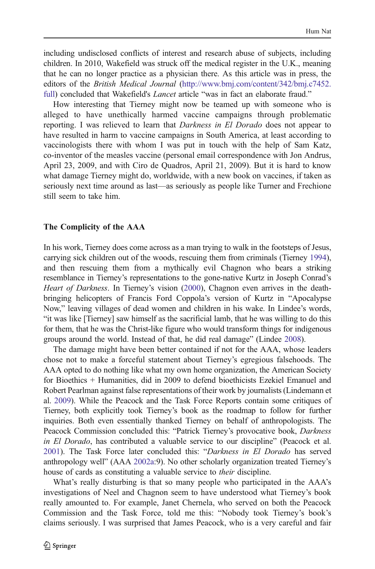including undisclosed conflicts of interest and research abuse of subjects, including children. In 2010, Wakefield was struck off the medical register in the U.K., meaning that he can no longer practice as a physician there. As this article was in press, the editors of the *British Medical Journal* ([http://www.bmj.com/content/342/bmj.c7452.](http://www.bmj.com/content/342/bmj.c7452.full) [full](http://www.bmj.com/content/342/bmj.c7452.full)) concluded that Wakefield's *Lancet* article "was in fact an elaborate fraud."

How interesting that Tierney might now be teamed up with someone who is alleged to have unethically harmed vaccine campaigns through problematic reporting. I was relieved to learn that *Darkness in El Dorado* does not appear to have resulted in harm to vaccine campaigns in South America, at least according to vaccinologists there with whom I was put in touch with the help of Sam Katz, co-inventor of the measles vaccine (personal email correspondence with Jon Andrus, April 23, 2009, and with Ciro de Quadros, April 21, 2009). But it is hard to know what damage Tierney might do, worldwide, with a new book on vaccines, if taken as seriously next time around as last—as seriously as people like Turner and Frechione still seem to take him.

#### The Complicity of the AAA

In his work, Tierney does come across as a man trying to walk in the footsteps of Jesus, carrying sick children out of the woods, rescuing them from criminals (Tierney [1994\)](#page-21-0), and then rescuing them from a mythically evil Chagnon who bears a striking resemblance in Tierney's representations to the gone-native Kurtz in Joseph Conrad's Heart of Darkness. In Tierney's vision ([2000](#page-21-0)), Chagnon even arrives in the deathbringing helicopters of Francis Ford Coppola's version of Kurtz in "Apocalypse Now," leaving villages of dead women and children in his wake. In Lindee's words, "it was like [Tierney] saw himself as the sacrificial lamb, that he was willing to do this for them, that he was the Christ-like figure who would transform things for indigenous groups around the world. Instead of that, he did real damage" (Lindee [2008\)](#page-20-0).

The damage might have been better contained if not for the AAA, whose leaders chose not to make a forceful statement about Tierney's egregious falsehoods. The AAA opted to do nothing like what my own home organization, the American Society for Bioethics + Humanities, did in 2009 to defend bioethicists Ezekiel Emanuel and Robert Pearlman against false representations of their work by journalists (Lindemann et al. [2009](#page-20-0)). While the Peacock and the Task Force Reports contain some critiques of Tierney, both explicitly took Tierney's book as the roadmap to follow for further inquiries. Both even essentially thanked Tierney on behalf of anthropologists. The Peacock Commission concluded this: "Patrick Tierney's provocative book, Darkness in El Dorado, has contributed a valuable service to our discipline" (Peacock et al. [2001\)](#page-21-0). The Task Force later concluded this: "Darkness in El Dorado has served anthropology well" (AAA [2002a:](#page-19-0)9). No other scholarly organization treated Tierney's house of cards as constituting a valuable service to *their* discipline.

What's really disturbing is that so many people who participated in the AAA's investigations of Neel and Chagnon seem to have understood what Tierney's book really amounted to. For example, Janet Chernela, who served on both the Peacock Commission and the Task Force, told me this: "Nobody took Tierney's book's claims seriously. I was surprised that James Peacock, who is a very careful and fair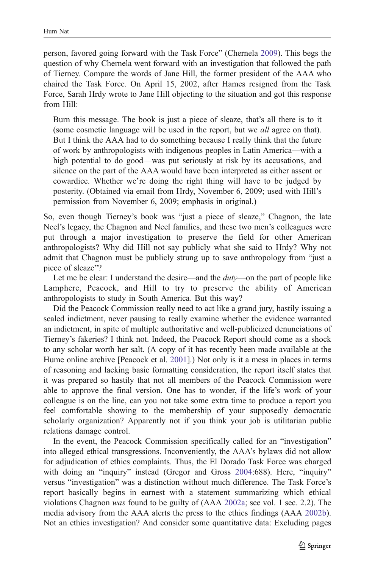person, favored going forward with the Task Force" (Chernela [2009\)](#page-19-0). This begs the question of why Chernela went forward with an investigation that followed the path of Tierney. Compare the words of Jane Hill, the former president of the AAA who chaired the Task Force. On April 15, 2002, after Hames resigned from the Task Force, Sarah Hrdy wrote to Jane Hill objecting to the situation and got this response from Hill:

Burn this message. The book is just a piece of sleaze, that's all there is to it (some cosmetic language will be used in the report, but we all agree on that). But I think the AAA had to do something because I really think that the future of work by anthropologists with indigenous peoples in Latin America—with a high potential to do good—was put seriously at risk by its accusations, and silence on the part of the AAA would have been interpreted as either assent or cowardice. Whether we're doing the right thing will have to be judged by posterity. (Obtained via email from Hrdy, November 6, 2009; used with Hill's permission from November 6, 2009; emphasis in original.)

So, even though Tierney's book was "just a piece of sleaze," Chagnon, the late Neel's legacy, the Chagnon and Neel families, and these two men's colleagues were put through a major investigation to preserve the field for other American anthropologists? Why did Hill not say publicly what she said to Hrdy? Why not admit that Chagnon must be publicly strung up to save anthropology from "just a piece of sleaze"?

Let me be clear: I understand the desire—and the *duty*—on the part of people like Lamphere, Peacock, and Hill to try to preserve the ability of American anthropologists to study in South America. But this way?

Did the Peacock Commission really need to act like a grand jury, hastily issuing a sealed indictment, never pausing to really examine whether the evidence warranted an indictment, in spite of multiple authoritative and well-publicized denunciations of Tierney's fakeries? I think not. Indeed, the Peacock Report should come as a shock to any scholar worth her salt. (A copy of it has recently been made available at the Hume online archive [Peacock et al. [2001](#page-21-0)].) Not only is it a mess in places in terms of reasoning and lacking basic formatting consideration, the report itself states that it was prepared so hastily that not all members of the Peacock Commission were able to approve the final version. One has to wonder, if the life's work of your colleague is on the line, can you not take some extra time to produce a report you feel comfortable showing to the membership of your supposedly democratic scholarly organization? Apparently not if you think your job is utilitarian public relations damage control.

In the event, the Peacock Commission specifically called for an "investigation" into alleged ethical transgressions. Inconveniently, the AAA's bylaws did not allow for adjudication of ethics complaints. Thus, the El Dorado Task Force was charged with doing an "inquiry" instead (Gregor and Gross [2004:](#page-20-0)688). Here, "inquiry" versus "investigation" was a distinction without much difference. The Task Force's report basically begins in earnest with a statement summarizing which ethical violations Chagnon was found to be guilty of (AAA [2002a](#page-19-0); see vol. 1 sec. 2.2). The media advisory from the AAA alerts the press to the ethics findings (AAA [2002b\)](#page-19-0). Not an ethics investigation? And consider some quantitative data: Excluding pages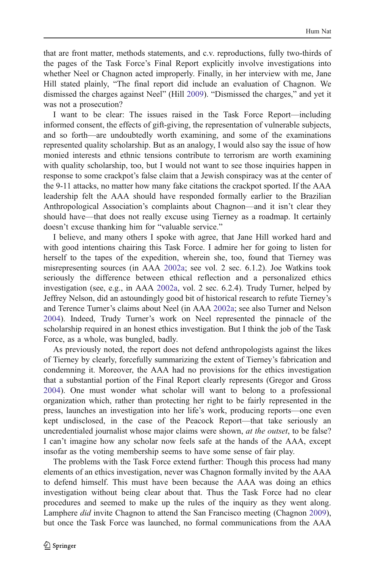that are front matter, methods statements, and c.v. reproductions, fully two-thirds of the pages of the Task Force's Final Report explicitly involve investigations into whether Neel or Chagnon acted improperly. Finally, in her interview with me, Jane Hill stated plainly, "The final report did include an evaluation of Chagnon. We dismissed the charges against Neel" (Hill [2009\)](#page-20-0). "Dismissed the charges," and yet it was not a prosecution?

I want to be clear: The issues raised in the Task Force Report—including informed consent, the effects of gift-giving, the representation of vulnerable subjects, and so forth—are undoubtedly worth examining, and some of the examinations represented quality scholarship. But as an analogy, I would also say the issue of how monied interests and ethnic tensions contribute to terrorism are worth examining with quality scholarship, too, but I would not want to see those inquiries happen in response to some crackpot's false claim that a Jewish conspiracy was at the center of the 9-11 attacks, no matter how many fake citations the crackpot sported. If the AAA leadership felt the AAA should have responded formally earlier to the Brazilian Anthropological Association's complaints about Chagnon—and it isn't clear they should have—that does not really excuse using Tierney as a roadmap. It certainly doesn't excuse thanking him for "valuable service."

I believe, and many others I spoke with agree, that Jane Hill worked hard and with good intentions chairing this Task Force. I admire her for going to listen for herself to the tapes of the expedition, wherein she, too, found that Tierney was misrepresenting sources (in AAA [2002a;](#page-19-0) see vol. 2 sec. 6.1.2). Joe Watkins took seriously the difference between ethical reflection and a personalized ethics investigation (see, e.g., in AAA [2002a](#page-19-0), vol. 2 sec. 6.2.4). Trudy Turner, helped by Jeffrey Nelson, did an astoundingly good bit of historical research to refute Tierney's and Terence Turner's claims about Neel (in AAA [2002a;](#page-19-0) see also Turner and Nelson [2004\)](#page-21-0). Indeed, Trudy Turner's work on Neel represented the pinnacle of the scholarship required in an honest ethics investigation. But I think the job of the Task Force, as a whole, was bungled, badly.

As previously noted, the report does not defend anthropologists against the likes of Tierney by clearly, forcefully summarizing the extent of Tierney's fabrication and condemning it. Moreover, the AAA had no provisions for the ethics investigation that a substantial portion of the Final Report clearly represents (Gregor and Gross [2004\)](#page-20-0). One must wonder what scholar will want to belong to a professional organization which, rather than protecting her right to be fairly represented in the press, launches an investigation into her life's work, producing reports—one even kept undisclosed, in the case of the Peacock Report—that take seriously an uncredentialed journalist whose major claims were shown, *at the outset*, to be false? I can't imagine how any scholar now feels safe at the hands of the AAA, except insofar as the voting membership seems to have some sense of fair play.

The problems with the Task Force extend further: Though this process had many elements of an ethics investigation, never was Chagnon formally invited by the AAA to defend himself. This must have been because the AAA was doing an ethics investigation without being clear about that. Thus the Task Force had no clear procedures and seemed to make up the rules of the inquiry as they went along. Lamphere *did* invite Chagnon to attend the San Francisco meeting (Chagnon [2009\)](#page-19-0), but once the Task Force was launched, no formal communications from the AAA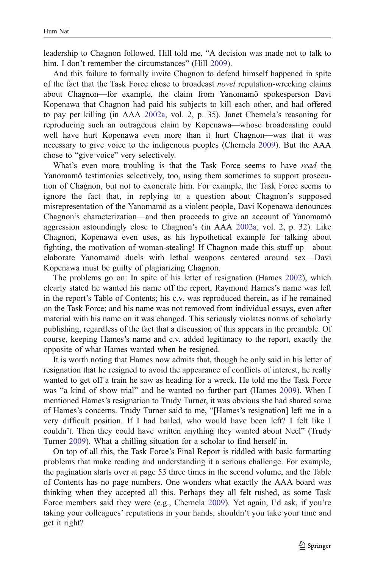leadership to Chagnon followed. Hill told me, "A decision was made not to talk to him. I don't remember the circumstances" (Hill [2009\)](#page-20-0).

And this failure to formally invite Chagnon to defend himself happened in spite of the fact that the Task Force chose to broadcast novel reputation-wrecking claims about Chagnon—for example, the claim from Yanomamö spokesperson Davi Kopenawa that Chagnon had paid his subjects to kill each other, and had offered to pay per killing (in AAA [2002a,](#page-19-0) vol. 2, p. 35). Janet Chernela's reasoning for reproducing such an outrageous claim by Kopenawa—whose broadcasting could well have hurt Kopenawa even more than it hurt Chagnon—was that it was necessary to give voice to the indigenous peoples (Chernela [2009](#page-19-0)). But the AAA chose to "give voice" very selectively.

What's even more troubling is that the Task Force seems to have *read* the Yanomamö testimonies selectively, too, using them sometimes to support prosecution of Chagnon, but not to exonerate him. For example, the Task Force seems to ignore the fact that, in replying to a question about Chagnon's supposed misrepresentation of the Yanomamö as a violent people, Davi Kopenawa denounces Chagnon's characterization—and then proceeds to give an account of Yanomamö aggression astoundingly close to Chagnon's (in AAA [2002a](#page-19-0), vol. 2, p. 32). Like Chagnon, Kopenawa even uses, as his hypothetical example for talking about fighting, the motivation of woman-stealing! If Chagnon made this stuff up—about elaborate Yanomamö duels with lethal weapons centered around sex—Davi Kopenawa must be guilty of plagiarizing Chagnon.

The problems go on: In spite of his letter of resignation (Hames [2002](#page-20-0)), which clearly stated he wanted his name off the report, Raymond Hames's name was left in the report's Table of Contents; his c.v. was reproduced therein, as if he remained on the Task Force; and his name was not removed from individual essays, even after material with his name on it was changed. This seriously violates norms of scholarly publishing, regardless of the fact that a discussion of this appears in the preamble. Of course, keeping Hames's name and c.v. added legitimacy to the report, exactly the opposite of what Hames wanted when he resigned.

It is worth noting that Hames now admits that, though he only said in his letter of resignation that he resigned to avoid the appearance of conflicts of interest, he really wanted to get off a train he saw as heading for a wreck. He told me the Task Force was "a kind of show trial" and he wanted no further part (Hames [2009\)](#page-20-0). When I mentioned Hames's resignation to Trudy Turner, it was obvious she had shared some of Hames's concerns. Trudy Turner said to me, "[Hames's resignation] left me in a very difficult position. If I had bailed, who would have been left? I felt like I couldn't. Then they could have written anything they wanted about Neel" (Trudy Turner [2009\)](#page-21-0). What a chilling situation for a scholar to find herself in.

On top of all this, the Task Force's Final Report is riddled with basic formatting problems that make reading and understanding it a serious challenge. For example, the pagination starts over at page 53 three times in the second volume, and the Table of Contents has no page numbers. One wonders what exactly the AAA board was thinking when they accepted all this. Perhaps they all felt rushed, as some Task Force members said they were (e.g., Chernela [2009\)](#page-19-0). Yet again, I'd ask, if you're taking your colleagues' reputations in your hands, shouldn't you take your time and get it right?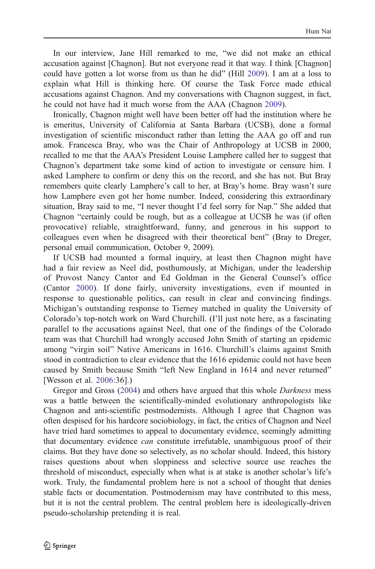In our interview, Jane Hill remarked to me, "we did not make an ethical accusation against [Chagnon]. But not everyone read it that way. I think [Chagnon] could have gotten a lot worse from us than he did" (Hill [2009](#page-20-0)). I am at a loss to explain what Hill is thinking here. Of course the Task Force made ethical accusations against Chagnon. And my conversations with Chagnon suggest, in fact, he could not have had it much worse from the AAA (Chagnon [2009\)](#page-19-0).

Ironically, Chagnon might well have been better off had the institution where he is emeritus, University of California at Santa Barbara (UCSB), done a formal investigation of scientific misconduct rather than letting the AAA go off and run amok. Francesca Bray, who was the Chair of Anthropology at UCSB in 2000, recalled to me that the AAA's President Louise Lamphere called her to suggest that Chagnon's department take some kind of action to investigate or censure him. I asked Lamphere to confirm or deny this on the record, and she has not. But Bray remembers quite clearly Lamphere's call to her, at Bray's home. Bray wasn't sure how Lamphere even got her home number. Indeed, considering this extraordinary situation, Bray said to me, "I never thought I'd feel sorry for Nap." She added that Chagnon "certainly could be rough, but as a colleague at UCSB he was (if often provocative) reliable, straightforward, funny, and generous in his support to colleagues even when he disagreed with their theoretical bent" (Bray to Dreger, personal email communication, October 9, 2009).

If UCSB had mounted a formal inquiry, at least then Chagnon might have had a fair review as Neel did, posthumously, at Michigan, under the leadership of Provost Nancy Cantor and Ed Goldman in the General Counsel's office (Cantor [2000](#page-19-0)). If done fairly, university investigations, even if mounted in response to questionable politics, can result in clear and convincing findings. Michigan's outstanding response to Tierney matched in quality the University of Colorado's top-notch work on Ward Churchill. (I'll just note here, as a fascinating parallel to the accusations against Neel, that one of the findings of the Colorado team was that Churchill had wrongly accused John Smith of starting an epidemic among "virgin soil" Native Americans in 1616. Churchill's claims against Smith stood in contradiction to clear evidence that the 1616 epidemic could not have been caused by Smith because Smith "left New England in 1614 and never returned" [Wesson et al. [2006:](#page-21-0)36].)

Gregor and Gross ([2004\)](#page-20-0) and others have argued that this whole Darkness mess was a battle between the scientifically-minded evolutionary anthropologists like Chagnon and anti-scientific postmodernists. Although I agree that Chagnon was often despised for his hardcore sociobiology, in fact, the critics of Chagnon and Neel have tried hard sometimes to appeal to documentary evidence, seemingly admitting that documentary evidence *can* constitute irrefutable, unambiguous proof of their claims. But they have done so selectively, as no scholar should. Indeed, this history raises questions about when sloppiness and selective source use reaches the threshold of misconduct, especially when what is at stake is another scholar's life's work. Truly, the fundamental problem here is not a school of thought that denies stable facts or documentation. Postmodernism may have contributed to this mess, but it is not the central problem. The central problem here is ideologically-driven pseudo-scholarship pretending it is real.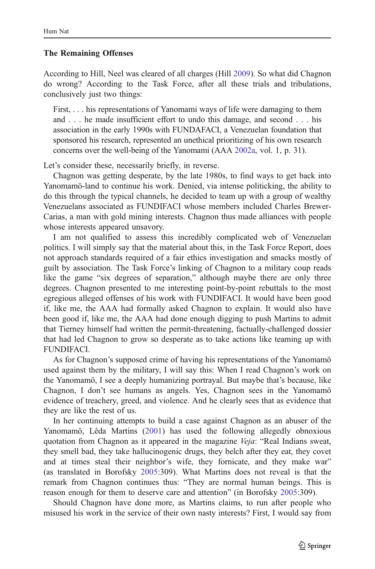# The Remaining Offenses

According to Hill, Neel was cleared of all charges (Hill [2009\)](#page-20-0). So what did Chagnon do wrong? According to the Task Force, after all these trials and tribulations, conclusively just two things:

First, . . . his representations of Yanomami ways of life were damaging to them and . . . he made insufficient effort to undo this damage, and second . . . his association in the early 1990s with FUNDAFACI, a Venezuelan foundation that sponsored his research, represented an unethical prioritizing of his own research concerns over the well-being of the Yanomami (AAA [2002a](#page-19-0), vol. 1, p. 31).

Let's consider these, necessarily briefly, in reverse.

Chagnon was getting desperate, by the late 1980s, to find ways to get back into Yanomamö-land to continue his work. Denied, via intense politicking, the ability to do this through the typical channels, he decided to team up with a group of wealthy Venezuelans associated as FUNDIFACI whose members included Charles Brewer-Carias, a man with gold mining interests. Chagnon thus made alliances with people whose interests appeared unsavory.

I am not qualified to assess this incredibly complicated web of Venezuelan politics. I will simply say that the material about this, in the Task Force Report, does not approach standards required of a fair ethics investigation and smacks mostly of guilt by association. The Task Force's linking of Chagnon to a military coup reads like the game "six degrees of separation," although maybe there are only three degrees. Chagnon presented to me interesting point-by-point rebuttals to the most egregious alleged offenses of his work with FUNDIFACI. It would have been good if, like me, the AAA had formally asked Chagnon to explain. It would also have been good if, like me, the AAA had done enough digging to push Martins to admit that Tierney himself had written the permit-threatening, factually-challenged dossier that had led Chagnon to grow so desperate as to take actions like teaming up with FUNDIFACI.

As for Chagnon's supposed crime of having his representations of the Yanomamö used against them by the military, I will say this: When I read Chagnon's work on the Yanomamö, I see a deeply humanizing portrayal. But maybe that's because, like Chagnon, I don't see humans as angels. Yes, Chagnon sees in the Yanomamö evidence of treachery, greed, and violence. And he clearly sees that as evidence that they are like the rest of us.

In her continuing attempts to build a case against Chagnon as an abuser of the Yanomamö, Lêda Martins [\(2001](#page-20-0)) has used the following allegedly obnoxious quotation from Chagnon as it appeared in the magazine Veja: "Real Indians sweat, they smell bad, they take hallucinogenic drugs, they belch after they eat, they covet and at times steal their neighbor's wife, they fornicate, and they make war" (as translated in Borofsky [2005](#page-19-0):309). What Martins does not reveal is that the remark from Chagnon continues thus: "They are normal human beings. This is reason enough for them to deserve care and attention" (in Borofsky [2005:](#page-19-0)309).

Should Chagnon have done more, as Martins claims, to run after people who misused his work in the service of their own nasty interests? First, I would say from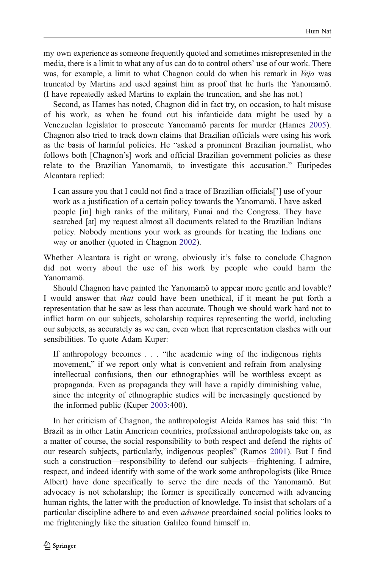my own experience as someone frequently quoted and sometimes misrepresented in the media, there is a limit to what any of us can do to control others' use of our work. There was, for example, a limit to what Chagnon could do when his remark in Veja was truncated by Martins and used against him as proof that he hurts the Yanomamö. (I have repeatedly asked Martins to explain the truncation, and she has not.)

Second, as Hames has noted, Chagnon did in fact try, on occasion, to halt misuse of his work, as when he found out his infanticide data might be used by a Venezuelan legislator to prosecute Yanomamö parents for murder (Hames [2005\)](#page-20-0). Chagnon also tried to track down claims that Brazilian officials were using his work as the basis of harmful policies. He "asked a prominent Brazilian journalist, who follows both [Chagnon's] work and official Brazilian government policies as these relate to the Brazilian Yanomamö, to investigate this accusation." Euripedes Alcantara replied:

I can assure you that I could not find a trace of Brazilian officials['] use of your work as a justification of a certain policy towards the Yanomamö. I have asked people [in] high ranks of the military, Funai and the Congress. They have searched [at] my request almost all documents related to the Brazilian Indians policy. Nobody mentions your work as grounds for treating the Indians one way or another (quoted in Chagnon [2002](#page-19-0)).

Whether Alcantara is right or wrong, obviously it's false to conclude Chagnon did not worry about the use of his work by people who could harm the Yanomamö.

Should Chagnon have painted the Yanomamö to appear more gentle and lovable? I would answer that *that* could have been unethical, if it meant he put forth a representation that he saw as less than accurate. Though we should work hard not to inflict harm on our subjects, scholarship requires representing the world, including our subjects, as accurately as we can, even when that representation clashes with our sensibilities. To quote Adam Kuper:

If anthropology becomes . . . "the academic wing of the indigenous rights movement," if we report only what is convenient and refrain from analysing intellectual confusions, then our ethnographies will be worthless except as propaganda. Even as propaganda they will have a rapidly diminishing value, since the integrity of ethnographic studies will be increasingly questioned by the informed public (Kuper [2003](#page-20-0):400).

In her criticism of Chagnon, the anthropologist Alcida Ramos has said this: "In Brazil as in other Latin American countries, professional anthropologists take on, as a matter of course, the social responsibility to both respect and defend the rights of our research subjects, particularly, indigenous peoples" (Ramos [2001\)](#page-21-0). But I find such a construction—responsibility to defend our subjects—frightening. I admire, respect, and indeed identify with some of the work some anthropologists (like Bruce Albert) have done specifically to serve the dire needs of the Yanomamö. But advocacy is not scholarship; the former is specifically concerned with advancing human rights, the latter with the production of knowledge. To insist that scholars of a particular discipline adhere to and even advance preordained social politics looks to me frighteningly like the situation Galileo found himself in.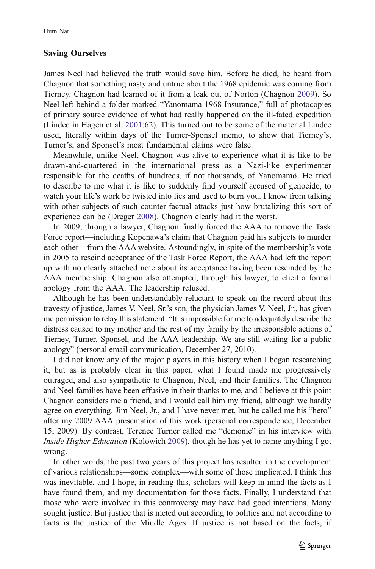# Saving Ourselves

James Neel had believed the truth would save him. Before he died, he heard from Chagnon that something nasty and untrue about the 1968 epidemic was coming from Tierney. Chagnon had learned of it from a leak out of Norton (Chagnon [2009\)](#page-19-0). So Neel left behind a folder marked "Yanomama-1968-Insurance," full of photocopies of primary source evidence of what had really happened on the ill-fated expedition (Lindee in Hagen et al. [2001:](#page-20-0)62). This turned out to be some of the material Lindee used, literally within days of the Turner-Sponsel memo, to show that Tierney's, Turner's, and Sponsel's most fundamental claims were false.

Meanwhile, unlike Neel, Chagnon was alive to experience what it is like to be drawn-and-quartered in the international press as a Nazi-like experimenter responsible for the deaths of hundreds, if not thousands, of Yanomamö. He tried to describe to me what it is like to suddenly find yourself accused of genocide, to watch your life's work be twisted into lies and used to burn you. I know from talking with other subjects of such counter-factual attacks just how brutalizing this sort of experience can be (Dreger [2008\)](#page-20-0). Chagnon clearly had it the worst.

In 2009, through a lawyer, Chagnon finally forced the AAA to remove the Task Force report—including Kopenawa's claim that Chagnon paid his subjects to murder each other—from the AAA website. Astoundingly, in spite of the membership's vote in 2005 to rescind acceptance of the Task Force Report, the AAA had left the report up with no clearly attached note about its acceptance having been rescinded by the AAA membership. Chagnon also attempted, through his lawyer, to elicit a formal apology from the AAA. The leadership refused.

Although he has been understandably reluctant to speak on the record about this travesty of justice, James V. Neel, Sr.'s son, the physician James V. Neel, Jr., has given me permission to relay this statement: "It is impossible for me to adequately describe the distress caused to my mother and the rest of my family by the irresponsible actions of Tierney, Turner, Sponsel, and the AAA leadership. We are still waiting for a public apology" (personal email communication, December 27, 2010).

I did not know any of the major players in this history when I began researching it, but as is probably clear in this paper, what I found made me progressively outraged, and also sympathetic to Chagnon, Neel, and their families. The Chagnon and Neel families have been effusive in their thanks to me, and I believe at this point Chagnon considers me a friend, and I would call him my friend, although we hardly agree on everything. Jim Neel, Jr., and I have never met, but he called me his "hero" after my 2009 AAA presentation of this work (personal correspondence, December 15, 2009). By contrast, Terence Turner called me "demonic" in his interview with Inside Higher Education (Kolowich [2009\)](#page-20-0), though he has yet to name anything I got wrong.

In other words, the past two years of this project has resulted in the development of various relationships—some complex—with some of those implicated. I think this was inevitable, and I hope, in reading this, scholars will keep in mind the facts as I have found them, and my documentation for those facts. Finally, I understand that those who were involved in this controversy may have had good intentions. Many sought justice. But justice that is meted out according to politics and not according to facts is the justice of the Middle Ages. If justice is not based on the facts, if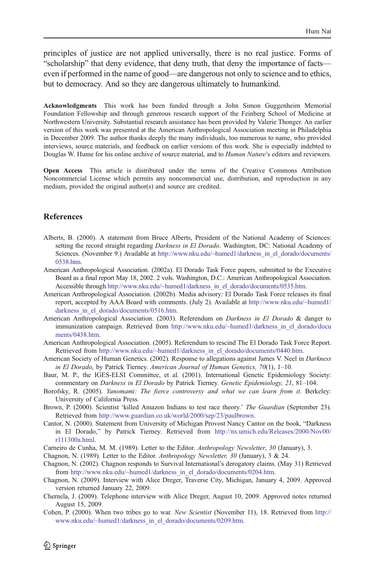principles of justice are not applied universally, there is no real justice. Forms of "scholarship" that deny evidence, that deny truth, that deny the importance of facts even if performed in the name of good—are dangerous not only to science and to ethics, but to democracy. And so they are dangerous ultimately to humankind.

Acknowledgments This work has been funded through a John Simon Guggenheim Memorial Foundation Fellowship and through generous research support of the Feinberg School of Medicine at Northwestern University. Substantial research assistance has been provided by Valerie Thonger. An earlier version of this work was presented at the American Anthropological Association meeting in Philadelphia in December 2009. The author thanks deeply the many individuals, too numerous to name, who provided interviews, source materials, and feedback on earlier versions of this work. She is especially indebted to Douglas W. Hume for his online archive of source material, and to *Human Nature's* editors and reviewers.

Open Access This article is distributed under the terms of the Creative Commons Attribution Noncommercial License which permits any noncommercial use, distribution, and reproduction in any medium, provided the original author(s) and source are credited.

## References

- Alberts, B. (2000). A statement from Bruce Alberts, President of the National Academy of Sciences: setting the record straight regarding *Darkness in El Dorado*. Washington, DC: National Academy of Sciences. (November 9.) Available at [http://www.nku.edu/~humed1/darkness\\_in\\_el\\_dorado/documents/](http://www.nku.edu/~humed1/darkness_in_el_dorado/documents/0538.htm) [0538.htm](http://www.nku.edu/~humed1/darkness_in_el_dorado/documents/0538.htm).
- American Anthropological Association. (2002a). El Dorado Task Force papers, submitted to the Executive Board as a final report May 18, 2002. 2 vols. Washington, D.C.: American Anthropological Association. Accessible through [http://www.nku.edu/~humed1/darkness\\_in\\_el\\_dorado/documents/0535.htm](http://www.nku.edu/~humed1/darkness_in_el_dorado/documents/0535.htm).
- American Anthropological Association. (2002b). Media advisory: El Dorado Task Force releases its final report, accepted by AAA Board with comments. (July 2). Available at [http://www.nku.edu/~humed1/](http://www.nku.edu/~humed1/darkness_in_el_dorado/documents/0516.htm) darkness in el dorado/documents/0516.htm.
- American Anthropological Association. (2003). Referendum on Darkness in El Dorado & danger to immunization campaign. Retrieved from [http://www.nku.edu/~humed1/darkness\\_in\\_el\\_dorado/docu](http://www.nku.edu/~humed1/darkness_in_el_dorado/documents/0438.htm) [ments/0438.htm](http://www.nku.edu/~humed1/darkness_in_el_dorado/documents/0438.htm).
- American Anthropological Association. (2005). Referendum to rescind The El Dorado Task Force Report. Retrieved from [http://www.nku.edu/~humed1/darkness\\_in\\_el\\_dorado/documents/0440.htm.](http://www.nku.edu/~humed1/darkness_in_el_dorado/documents/0440.htm)
- American Society of Human Genetics. (2002). Response to allegations against James V. Neel in Darkness in El Dorado, by Patrick Tierney. American Journal of Human Genetics, 70(1), 1–10.
- Baur, M. P., the IGES-ELSI Committee, et al. (2001). International Genetic Epidemiology Society: commentary on Darkness in El Dorado by Patrick Tierney. Genetic Epidemiology, 21, 81–104.
- Borofsky, R. (2005). Yanomami: The fierce controversy and what we can learn from it. Berkeley: University of California Press.
- Brown, P. (2000). Scientist 'killed Amazon Indians to test race theory.' The Guardian (September 23). Retrieved from [http://www.guardian.co.uk/world/2000/sep/23/paulbrown.](http://www.guardian.co.uk/world/2000/sep/23/paulbrown)
- Cantor, N. (2000). Statement from University of Michigan Provost Nancy Cantor on the book, "Darkness in El Dorado," by Patrick Tierney. Retrieved from [http://ns.umich.edu/Releases/2000/Nov00/](http://ns.umich.edu/Releases/2000/Nov00/r111300a.html) [r111300a.html.](http://ns.umich.edu/Releases/2000/Nov00/r111300a.html)
- Carneiro de Cunha, M. M. (1989). Letter to the Editor. Anthropology Newsletter, 30 (January), 3.
- Chagnon, N. (1989). Letter to the Editor. Anthropology Newsletter, 30 (January), 3 & 24.
- Chagnon, N. (2002). Chagnon responds to Survival International's derogatory claims. (May 31) Retrieved from [http://www.nku.edu/~humed1/darkness\\_in\\_el\\_dorado/documents/0204.htm](http://www.nku.edu/~humed1/darkness_in_el_dorado/documents/0204.htm).
- Chagnon, N. (2009). Interview with Alice Dreger, Traverse City, Michigan, January 4, 2009. Approved version returned January 22, 2009.
- Chernela, J. (2009). Telephone interview with Alice Dreger, August 10, 2009. Approved notes returned August 15, 2009.
- <span id="page-19-0"></span>Cohen, P. (2000). When two tribes go to war. New Scientist (November 11), 18. Retrieved from [http://](http://www.nku.edu/~humed1/darkness_in_el_dorado/documents/0209.htm) [www.nku.edu/~humed1/darkness\\_in\\_el\\_dorado/documents/0209.htm.](http://www.nku.edu/~humed1/darkness_in_el_dorado/documents/0209.htm)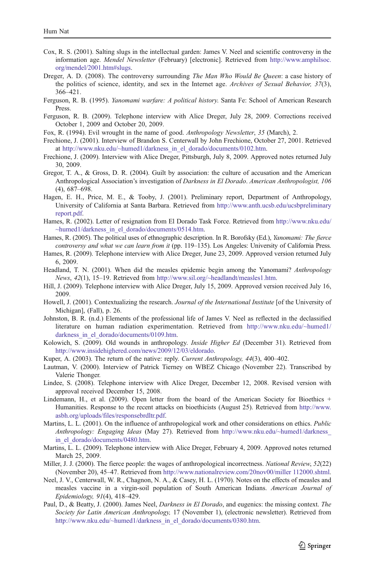- Cox, R. S. (2001). Salting slugs in the intellectual garden: James V. Neel and scientific controversy in the information age. Mendel Newsletter (February) [electronic]. Retrieved from [http://www.amphilsoc.](http://www.amphilsoc.org/mendel/2001.htm#slugs) [org/mendel/2001.htm#slugs](http://www.amphilsoc.org/mendel/2001.htm#slugs).
- Dreger, A. D. (2008). The controversy surrounding *The Man Who Would Be Queen*: a case history of the politics of science, identity, and sex in the Internet age. Archives of Sexual Behavior, 37(3), 366–421.
- Ferguson, R. B. (1995). Yanomami warfare: A political history. Santa Fe: School of American Research Press.
- Ferguson, R. B. (2009). Telephone interview with Alice Dreger, July 28, 2009. Corrections received October 1, 2009 and October 20, 2009.
- Fox, R. (1994). Evil wrought in the name of good. Anthropology Newsletter, 35 (March), 2.
- Frechione, J. (2001). Interview of Brandon S. Centerwall by John Frechione, October 27, 2001. Retrieved at [http://www.nku.edu/~humed1/darkness\\_in\\_el\\_dorado/documents/0102.htm.](http://www.nku.edu/~humed1/darkness_in_el_dorado/documents/0102.htm)
- Frechione, J. (2009). Interview with Alice Dreger, Pittsburgh, July 8, 2009. Approved notes returned July 30, 2009.
- Gregor, T. A., & Gross, D. R. (2004). Guilt by association: the culture of accusation and the American Anthropological Association's investigation of Darkness in El Dorado. American Anthropologist, 106 (4), 687–698.
- Hagen, E. H., Price, M. E., & Tooby, J. (2001). Preliminary report, Department of Anthropology, University of California at Santa Barbara. Retrieved from [http://www.anth.ucsb.edu/ucsbpreliminary](http://www.anth.ucsb.edu/ucsbpreliminaryreport.pdf) [report.pdf](http://www.anth.ucsb.edu/ucsbpreliminaryreport.pdf).
- Hames, R. (2002). Letter of resignation from El Dorado Task Force. Retrieved from [http://www.nku.edu/](http://www.nku.edu/~humed1/darkness_in_el_dorado/documents/0514.htm) [~humed1/darkness\\_in\\_el\\_dorado/documents/0514.htm.](http://www.nku.edu/~humed1/darkness_in_el_dorado/documents/0514.htm)
- Hames, R. (2005). The political uses of ethnographic description. In R. Borofsky (Ed.), *Yanomami: The fierce* controversy and what we can learn from it (pp. 119–135). Los Angeles: University of California Press.
- Hames, R. (2009). Telephone interview with Alice Dreger, June 23, 2009. Approved version returned July 6, 2009.
- Headland, T. N. (2001). When did the measles epidemic begin among the Yanomami? Anthropology News, 42(1), 15–19. Retrieved from <http://www.sil.org/~headlandt/measles1.htm>.
- Hill, J. (2009). Telephone interview with Alice Dreger, July 15, 2009. Approved version received July 16, 2009.
- Howell, J. (2001). Contextualizing the research. Journal of the International Institute [of the University of Michigan], (Fall), p. 26.
- Johnston, B. R. (n.d.) Elements of the professional life of James V. Neel as reflected in the declassified literature on human radiation experimentation. Retrieved from [http://www.nku.edu/~humed1/](http://www.nku.edu/~humed1/darkness_in_el_dorado/documents/0109.htm) [darkness\\_in\\_el\\_dorado/documents/0109.htm.](http://www.nku.edu/~humed1/darkness_in_el_dorado/documents/0109.htm)
- Kolowich, S. (2009). Old wounds in anthropology. Inside Higher Ed (December 31). Retrieved from [http://www.insidehighered.com/news/2009/12/03/eldorado.](http://www.insidehighered.com/news/2009/12/03/eldorado)
- Kuper, A. (2003). The return of the native: reply. Current Anthropology, 44(3), 400-402.
- Lautman, V. (2000). Interview of Patrick Tierney on WBEZ Chicago (November 22). Transcribed by Valerie Thonger.
- Lindee, S. (2008). Telephone interview with Alice Dreger, December 12, 2008. Revised version with approval received December 15, 2008.
- Lindemann, H., et al. (2009). Open letter from the board of the American Society for Bioethics + Humanities. Response to the recent attacks on bioethicists (August 25). Retrieved from [http://www.](http://www.asbh.org/uploads/files/responsebrdltr.pdf) [asbh.org/uploads/files/responsebrdltr.pdf](http://www.asbh.org/uploads/files/responsebrdltr.pdf).
- Martins, L. L. (2001). On the influence of anthropological work and other considerations on ethics. Public Anthropology: Engaging Ideas (May 27). Retrieved from [http://www.nku.edu/~humed1/darkness\\_](http://www.nku.edu/~humed1/darkness_in_el_dorado/documents/0480.htm) in el dorado/documents/0480.htm.
- Martins, L. L. (2009). Telephone interview with Alice Dreger, February 4, 2009. Approved notes returned March 25, 2009.
- Miller, J. J. (2000). The fierce people: the wages of anthropological incorrectness. National Review, 52(22) (November 20), 45–47. Retrieved from [http://www.nationalreview.com/20nov00/miller 112000.shtml](http://www.nationalreview.com/20nov00/miller112000.shtml).
- Neel, J. V., Centerwall, W. R., Chagnon, N. A., & Casey, H. L. (1970). Notes on the effects of measles and measles vaccine in a virgin-soil population of South American Indians. American Journal of Epidemiology, 91(4), 418–429.
- <span id="page-20-0"></span>Paul, D., & Beatty, J. (2000). James Neel, Darkness in El Dorado, and eugenics: the missing context. The Society for Latin American Anthropology, 17 (November 1), (electronic newsletter). Retrieved from [http://www.nku.edu/~humed1/darkness\\_in\\_el\\_dorado/documents/0380.htm](http://www.nku.edu/~humed1/darkness_in_el_dorado/documents/0380.htm).